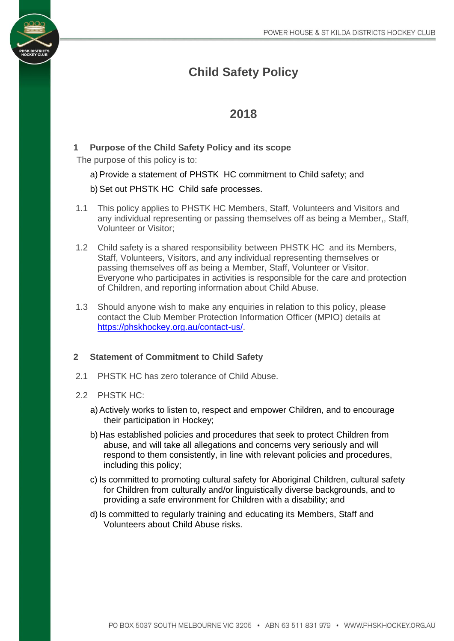# **Child Safety Policy**

## **2018**

### **1 Purpose of the Child Safety Policy and its scope**

The purpose of this policy is to:

#### a) Provide a statement of PHSTK HC commitment to Child safety; and

#### b) Set out PHSTK HC Child safe processes.

- 1.1 This policy applies to PHSTK HC Members, Staff, Volunteers and Visitors and any individual representing or passing themselves off as being a Member,, Staff, Volunteer or Visitor;
- 1.2 Child safety is a shared responsibility between PHSTK HC and its Members, Staff, Volunteers, Visitors, and any individual representing themselves or passing themselves off as being a Member, Staff, Volunteer or Visitor. Everyone who participates in activities is responsible for the care and protection of Children, and reporting information about Child Abuse.
- 1.3 Should anyone wish to make any enquiries in relation to this policy, please contact the Club Member Protection Information Officer (MPIO) details at [https://phskhockey.org.au/contact-us/.](https://phskhockey.org.au/contact-us/)

#### **2 Statement of Commitment to Child Safety**

2.1 PHSTK HC has zero tolerance of Child Abuse.

#### 2.2 PHSTK HC:

- a)Actively works to listen to, respect and empower Children, and to encourage their participation in Hockey;
- b) Has established policies and procedures that seek to protect Children from abuse, and will take all allegations and concerns very seriously and will respond to them consistently, in line with relevant policies and procedures, including this policy;
- c) Is committed to promoting cultural safety for Aboriginal Children, cultural safety for Children from culturally and/or linguistically diverse backgrounds, and to providing a safe environment for Children with a disability; and
- d) Is committed to regularly training and educating its Members, Staff and Volunteers about Child Abuse risks.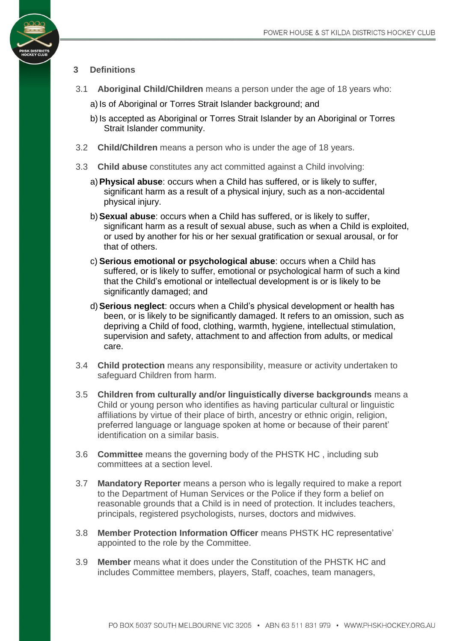#### **3 Definitions**

- 3.1 **Aboriginal Child/Children** means a person under the age of 18 years who:
	- a) Is of Aboriginal or Torres Strait Islander background; and
	- b) Is accepted as Aboriginal or Torres Strait Islander by an Aboriginal or Torres Strait Islander community.
- 3.2 **Child/Children** means a person who is under the age of 18 years.
- 3.3 **Child abuse** constitutes any act committed against a Child involving:
	- a)**Physical abuse**: occurs when a Child has suffered, or is likely to suffer, significant harm as a result of a physical injury, such as a non-accidental physical injury.
	- b)**Sexual abuse**: occurs when a Child has suffered, or is likely to suffer, significant harm as a result of sexual abuse, such as when a Child is exploited, or used by another for his or her sexual gratification or sexual arousal, or for that of others.
	- c) **Serious emotional or psychological abuse**: occurs when a Child has suffered, or is likely to suffer, emotional or psychological harm of such a kind that the Child's emotional or intellectual development is or is likely to be significantly damaged; and
	- d)**Serious neglect**: occurs when a Child's physical development or health has been, or is likely to be significantly damaged. It refers to an omission, such as depriving a Child of food, clothing, warmth, hygiene, intellectual stimulation, supervision and safety, attachment to and affection from adults, or medical care.
- 3.4 **Child protection** means any responsibility, measure or activity undertaken to safeguard Children from harm.
- 3.5 **Children from culturally and/or linguistically diverse backgrounds** means a Child or young person who identifies as having particular cultural or linguistic affiliations by virtue of their place of birth, ancestry or ethnic origin, religion, preferred language or language spoken at home or because of their parent' identification on a similar basis.
- 3.6 **Committee** means the governing body of the PHSTK HC , including sub committees at a section level.
- 3.7 **Mandatory Reporter** means a person who is legally required to make a report to the Department of Human Services or the Police if they form a belief on reasonable grounds that a Child is in need of protection. It includes teachers, principals, registered psychologists, nurses, doctors and midwives.
- 3.8 **Member Protection Information Officer** means PHSTK HC representative' appointed to the role by the Committee.
- 3.9 **Member** means what it does under the Constitution of the PHSTK HC and includes Committee members, players, Staff, coaches, team managers,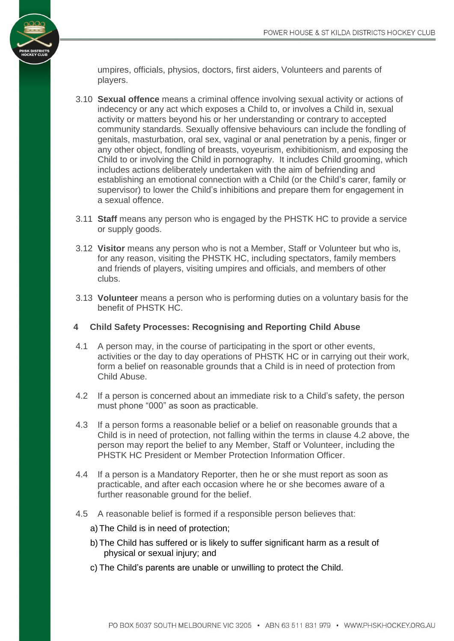umpires, officials, physios, doctors, first aiders, Volunteers and parents of players.

- 3.10 **Sexual offence** means a criminal offence involving sexual activity or actions of indecency or any act which exposes a Child to, or involves a Child in, sexual activity or matters beyond his or her understanding or contrary to accepted community standards. Sexually offensive behaviours can include the fondling of genitals, masturbation, oral sex, vaginal or anal penetration by a penis, finger or any other object, fondling of breasts, voyeurism, exhibitionism, and exposing the Child to or involving the Child in pornography. It includes Child grooming, which includes actions deliberately undertaken with the aim of befriending and establishing an emotional connection with a Child (or the Child's carer, family or supervisor) to lower the Child's inhibitions and prepare them for engagement in a sexual offence.
- 3.11 **Staff** means any person who is engaged by the PHSTK HC to provide a service or supply goods.
- 3.12 **Visitor** means any person who is not a Member, Staff or Volunteer but who is, for any reason, visiting the PHSTK HC, including spectators, family members and friends of players, visiting umpires and officials, and members of other clubs.
- 3.13 **Volunteer** means a person who is performing duties on a voluntary basis for the benefit of PHSTK HC.
- **4 Child Safety Processes: Recognising and Reporting Child Abuse**
- 4.1 A person may, in the course of participating in the sport or other events, activities or the day to day operations of PHSTK HC or in carrying out their work, form a belief on reasonable grounds that a Child is in need of protection from Child Abuse.
- 4.2 If a person is concerned about an immediate risk to a Child's safety, the person must phone "000" as soon as practicable.
- 4.3 If a person forms a reasonable belief or a belief on reasonable grounds that a Child is in need of protection, not falling within the terms in clause 4.2 above, the person may report the belief to any Member, Staff or Volunteer, including the PHSTK HC President or Member Protection Information Officer.
- 4.4 If a person is a Mandatory Reporter, then he or she must report as soon as practicable, and after each occasion where he or she becomes aware of a further reasonable ground for the belief.
- 4.5 A reasonable belief is formed if a responsible person believes that:
	- a) The Child is in need of protection;
	- b) The Child has suffered or is likely to suffer significant harm as a result of physical or sexual injury; and
	- c) The Child's parents are unable or unwilling to protect the Child.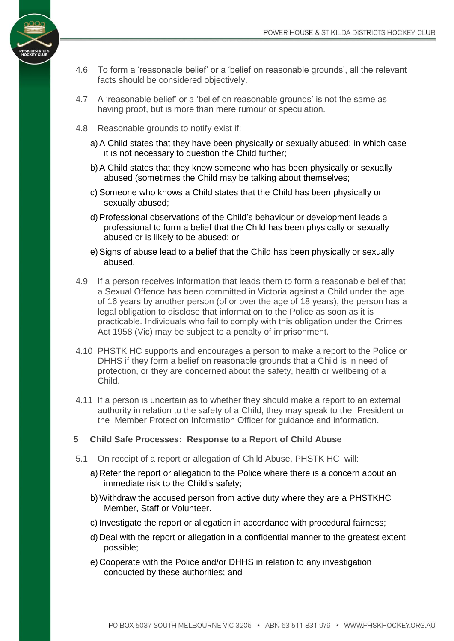- 4.6 To form a 'reasonable belief' or a 'belief on reasonable grounds', all the relevant facts should be considered objectively.
- 4.7 A 'reasonable belief' or a 'belief on reasonable grounds' is not the same as having proof, but is more than mere rumour or speculation.
- 4.8 Reasonable grounds to notify exist if:
	- a)A Child states that they have been physically or sexually abused; in which case it is not necessary to question the Child further;
	- b)A Child states that they know someone who has been physically or sexually abused (sometimes the Child may be talking about themselves;
	- c) Someone who knows a Child states that the Child has been physically or sexually abused;
	- d)Professional observations of the Child's behaviour or development leads a professional to form a belief that the Child has been physically or sexually abused or is likely to be abused; or
	- e) Signs of abuse lead to a belief that the Child has been physically or sexually abused.
- 4.9 If a person receives information that leads them to form a reasonable belief that a Sexual Offence has been committed in Victoria against a Child under the age of 16 years by another person (of or over the age of 18 years), the person has a legal obligation to disclose that information to the Police as soon as it is practicable. Individuals who fail to comply with this obligation under the Crimes Act 1958 (Vic) may be subject to a penalty of imprisonment.
- 4.10 PHSTK HC supports and encourages a person to make a report to the Police or DHHS if they form a belief on reasonable grounds that a Child is in need of protection, or they are concerned about the safety, health or wellbeing of a Child.
- 4.11 If a person is uncertain as to whether they should make a report to an external authority in relation to the safety of a Child, they may speak to the President or the Member Protection Information Officer for guidance and information.
- **5 Child Safe Processes: Response to a Report of Child Abuse**
- 5.1 On receipt of a report or allegation of Child Abuse, PHSTK HC will:
	- a) Refer the report or allegation to the Police where there is a concern about an immediate risk to the Child's safety;
	- b)Withdraw the accused person from active duty where they are a PHSTKHC Member, Staff or Volunteer.
	- c) Investigate the report or allegation in accordance with procedural fairness;
	- d) Deal with the report or allegation in a confidential manner to the greatest extent possible;
	- e) Cooperate with the Police and/or DHHS in relation to any investigation conducted by these authorities; and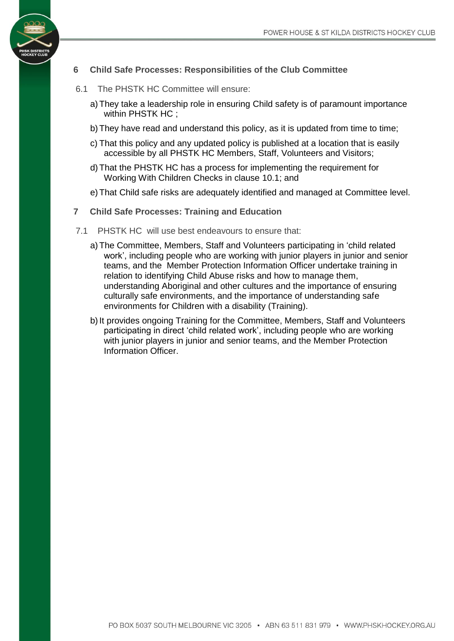

#### **6 Child Safe Processes: Responsibilities of the Club Committee**

- 6.1 The PHSTK HC Committee will ensure:
	- a) They take a leadership role in ensuring Child safety is of paramount importance within PHSTK HC:
	- b) They have read and understand this policy, as it is updated from time to time;
	- c) That this policy and any updated policy is published at a location that is easily accessible by all PHSTK HC Members, Staff, Volunteers and Visitors;
	- d) That the PHSTK HC has a process for implementing the requirement for Working With Children Checks in clause [10.1;](#page-6-0) and
	- e) That Child safe risks are adequately identified and managed at Committee level.
- **7 Child Safe Processes: Training and Education**
- 7.1 PHSTK HC will use best endeavours to ensure that:
	- a) The Committee, Members, Staff and Volunteers participating in 'child related work', including people who are working with junior players in junior and senior teams, and the Member Protection Information Officer undertake training in relation to identifying Child Abuse risks and how to manage them, understanding Aboriginal and other cultures and the importance of ensuring culturally safe environments, and the importance of understanding safe environments for Children with a disability (Training).
	- b) It provides ongoing Training for the Committee, Members, Staff and Volunteers participating in direct 'child related work', including people who are working with junior players in junior and senior teams, and the Member Protection Information Officer.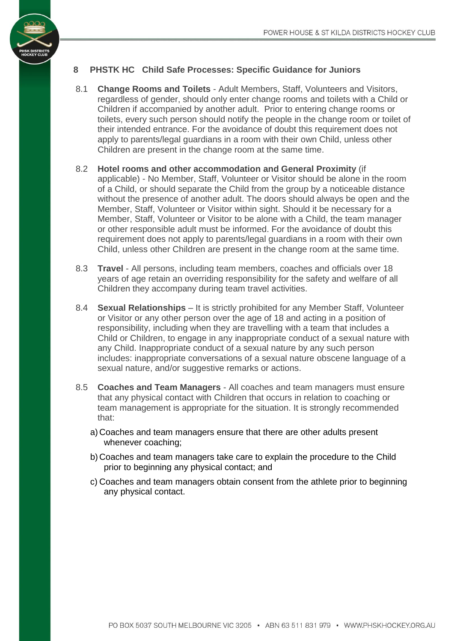

#### **8 PHSTK HC Child Safe Processes: Specific Guidance for Juniors**

- 8.1 **Change Rooms and Toilets** Adult Members, Staff, Volunteers and Visitors, regardless of gender, should only enter change rooms and toilets with a Child or Children if accompanied by another adult. Prior to entering change rooms or toilets, every such person should notify the people in the change room or toilet of their intended entrance. For the avoidance of doubt this requirement does not apply to parents/legal guardians in a room with their own Child, unless other Children are present in the change room at the same time.
- 8.2 **Hotel rooms and other accommodation and General Proximity** (if applicable) - No Member, Staff, Volunteer or Visitor should be alone in the room of a Child, or should separate the Child from the group by a noticeable distance without the presence of another adult. The doors should always be open and the Member, Staff, Volunteer or Visitor within sight. Should it be necessary for a Member, Staff, Volunteer or Visitor to be alone with a Child, the team manager or other responsible adult must be informed. For the avoidance of doubt this requirement does not apply to parents/legal guardians in a room with their own Child, unless other Children are present in the change room at the same time.
- 8.3 **Travel** All persons, including team members, coaches and officials over 18 years of age retain an overriding responsibility for the safety and welfare of all Children they accompany during team travel activities.
- 8.4 **Sexual Relationships** It is strictly prohibited for any Member Staff, Volunteer or Visitor or any other person over the age of 18 and acting in a position of responsibility, including when they are travelling with a team that includes a Child or Children, to engage in any inappropriate conduct of a sexual nature with any Child. Inappropriate conduct of a sexual nature by any such person includes: inappropriate conversations of a sexual nature obscene language of a sexual nature, and/or suggestive remarks or actions.
- 8.5 **Coaches and Team Managers** All coaches and team managers must ensure that any physical contact with Children that occurs in relation to coaching or team management is appropriate for the situation. It is strongly recommended that:
	- a) Coaches and team managers ensure that there are other adults present whenever coaching;
	- b) Coaches and team managers take care to explain the procedure to the Child prior to beginning any physical contact; and
	- c) Coaches and team managers obtain consent from the athlete prior to beginning any physical contact.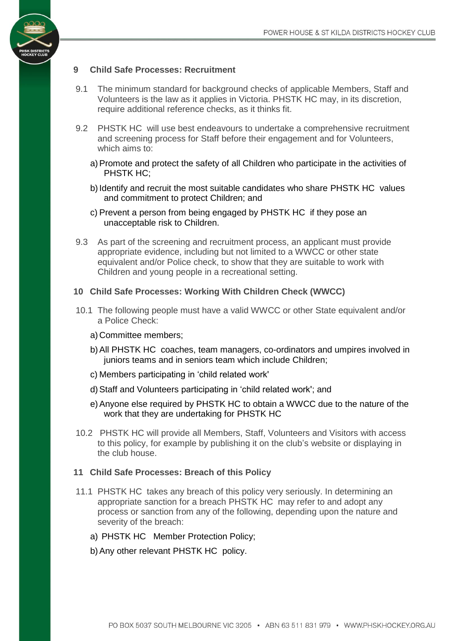#### **9 Child Safe Processes: Recruitment**

- 9.1 The minimum standard for background checks of applicable Members, Staff and Volunteers is the law as it applies in Victoria. PHSTK HC may, in its discretion, require additional reference checks, as it thinks fit.
- 9.2 PHSTK HC will use best endeavours to undertake a comprehensive recruitment and screening process for Staff before their engagement and for Volunteers, which aims to:
	- a)Promote and protect the safety of all Children who participate in the activities of PHSTK HC;
	- b) Identify and recruit the most suitable candidates who share PHSTK HC values and commitment to protect Children; and
	- c) Prevent a person from being engaged by PHSTK HC if they pose an unacceptable risk to Children.
- 9.3 As part of the screening and recruitment process, an applicant must provide appropriate evidence, including but not limited to a WWCC or other state equivalent and/or Police check, to show that they are suitable to work with Children and young people in a recreational setting.

#### <span id="page-6-0"></span>**10 Child Safe Processes: Working With Children Check (WWCC)**

- 10.1 The following people must have a valid WWCC or other State equivalent and/or a Police Check:
	- a) Committee members;
	- b)All PHSTK HC coaches, team managers, co-ordinators and umpires involved in juniors teams and in seniors team which include Children;
	- c) Members participating in 'child related work'
	- d)Staff and Volunteers participating in 'child related work'; and
	- e)Anyone else required by PHSTK HC to obtain a WWCC due to the nature of the work that they are undertaking for PHSTK HC
- 10.2 PHSTK HC will provide all Members, Staff, Volunteers and Visitors with access to this policy, for example by publishing it on the club's website or displaying in the club house.

#### **11 Child Safe Processes: Breach of this Policy**

- 11.1 PHSTK HC takes any breach of this policy very seriously. In determining an appropriate sanction for a breach PHSTK HC may refer to and adopt any process or sanction from any of the following, depending upon the nature and severity of the breach:
	- a) PHSTK HC Member Protection Policy;
	- b)Any other relevant PHSTK HC policy.